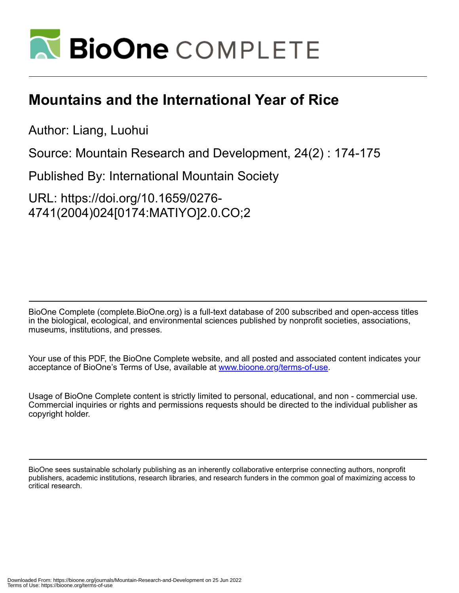

# **Mountains and the International Year of Rice**

Author: Liang, Luohui

Source: Mountain Research and Development, 24(2) : 174-175

Published By: International Mountain Society

URL: https://doi.org/10.1659/0276- 4741(2004)024[0174:MATIYO]2.0.CO;2

BioOne Complete (complete.BioOne.org) is a full-text database of 200 subscribed and open-access titles in the biological, ecological, and environmental sciences published by nonprofit societies, associations, museums, institutions, and presses.

Your use of this PDF, the BioOne Complete website, and all posted and associated content indicates your acceptance of BioOne's Terms of Use, available at www.bioone.org/terms-of-use.

Usage of BioOne Complete content is strictly limited to personal, educational, and non - commercial use. Commercial inquiries or rights and permissions requests should be directed to the individual publisher as copyright holder.

BioOne sees sustainable scholarly publishing as an inherently collaborative enterprise connecting authors, nonprofit publishers, academic institutions, research libraries, and research funders in the common goal of maximizing access to critical research.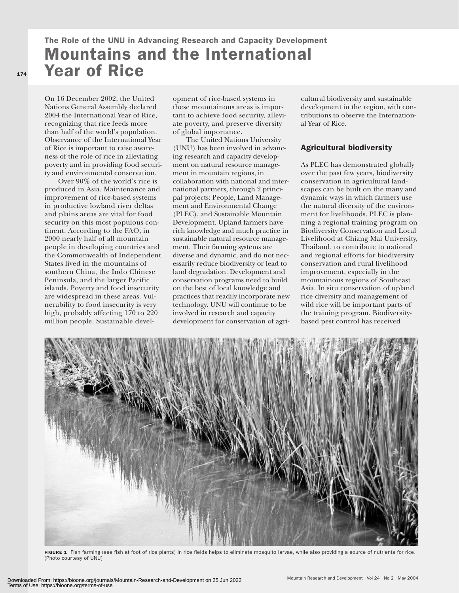## The Role of the UNU in Advancing Research and Capacity Development Mountains and the International Year of Rice

On 16 December 2002, the United Nations General Assembly declared 2004 the International Year of Rice, recognizing that rice feeds more than half of the world's population. Observance of the International Year of Rice is important to raise awareness of the role of rice in alleviating poverty and in providing food security and environmental conservation.

Over 90% of the world's rice is produced in Asia. Maintenance and improvement of rice-based systems in productive lowland river deltas and plains areas are vital for food security on this most populous continent. According to the FAO, in 2000 nearly half of all mountain people in developing countries and the Commonwealth of Independent States lived in the mountains of southern China, the Indo Chinese Peninsula, and the larger Pacific islands. Poverty and food insecurity are widespread in these areas. Vulnerability to food insecurity is very high, probably affecting 170 to 220 million people. Sustainable development of rice-based systems in these mountainous areas is important to achieve food security, alleviate poverty, and preserve diversity of global importance.

The United Nations University (UNU) has been involved in advancing research and capacity development on natural resource management in mountain regions, in collaboration with national and international partners, through 2 principal projects: People, Land Management and Environmental Change (PLEC), and Sustainable Mountain Development. Upland farmers have rich knowledge and much practice in sustainable natural resource management. Their farming systems are diverse and dynamic, and do not necessarily reduce biodiversity or lead to land degradation. Development and conservation programs need to build on the best of local knowledge and practices that readily incorporate new technology. UNU will continue to be involved in research and capacity development for conservation of agricultural biodiversity and sustainable development in the region, with contributions to observe the International Year of Rice.

### Agricultural biodiversity

As PLEC has demonstrated globally over the past few years, biodiversity conservation in agricultural landscapes can be built on the many and dynamic ways in which farmers use the natural diversity of the environment for livelihoods. PLEC is planning a regional training program on Biodiversity Conservation and Local Livelihood at Chiang Mai University, Thailand, to contribute to national and regional efforts for biodiversity conservation and rural livelihood improvement, especially in the mountainous regions of Southeast Asia. In situ conservation of upland rice diversity and management of wild rice will be important parts of the training program. Biodiversitybased pest control has received



FIGURE 1 Fish farming (see fish at foot of rice plants) in rice fields helps to eliminate mosquito larvae, while also providing a source of nutrients for rice. (Photo courtesy of UNU)

174